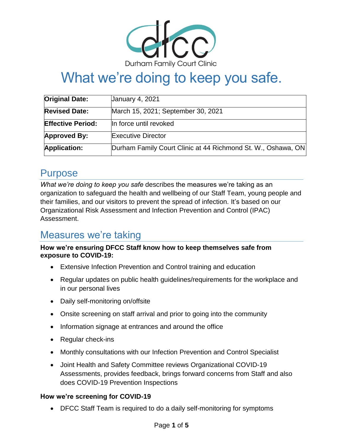

# What we're doing to keep you safe.

| <b>Original Date:</b>    | <b>January 4, 2021</b>                                       |
|--------------------------|--------------------------------------------------------------|
| <b>Revised Date:</b>     | March 15, 2021; September 30, 2021                           |
| <b>Effective Period:</b> | In force until revoked                                       |
| <b>Approved By:</b>      | <b>Executive Director</b>                                    |
| <b>Application:</b>      | Durham Family Court Clinic at 44 Richmond St. W., Oshawa, ON |

# Purpose

*What we're doing to keep you safe* describes the measures we're taking as an organization to safeguard the health and wellbeing of our Staff Team, young people and their families, and our visitors to prevent the spread of infection. It's based on our Organizational Risk Assessment and Infection Prevention and Control (IPAC) Assessment.

# Measures we're taking

**How we're ensuring DFCC Staff know how to keep themselves safe from exposure to COVID-19:**

- Extensive Infection Prevention and Control training and education
- Regular updates on public health guidelines/requirements for the workplace and in our personal lives
- Daily self-monitoring on/offsite
- Onsite screening on staff arrival and prior to going into the community
- Information signage at entrances and around the office
- Regular check-ins
- Monthly consultations with our Infection Prevention and Control Specialist
- Joint Health and Safety Committee reviews Organizational COVID-19 Assessments, provides feedback, brings forward concerns from Staff and also does COVID-19 Prevention Inspections

# **How we're screening for COVID-19**

DFCC Staff Team is required to do a daily self-monitoring for symptoms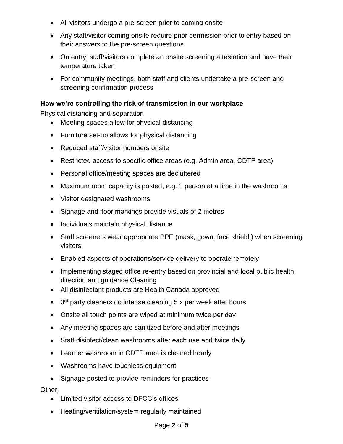- All visitors undergo a pre-screen prior to coming onsite
- Any staff/visitor coming onsite require prior permission prior to entry based on their answers to the pre-screen questions
- On entry, staff/visitors complete an onsite screening attestation and have their temperature taken
- For community meetings, both staff and clients undertake a pre-screen and screening confirmation process

## **How we're controlling the risk of transmission in our workplace**

Physical distancing and separation

- Meeting spaces allow for physical distancing
- Furniture set-up allows for physical distancing
- Reduced staff/visitor numbers onsite
- Restricted access to specific office areas (e.g. Admin area, CDTP area)
- Personal office/meeting spaces are decluttered
- Maximum room capacity is posted, e.g. 1 person at a time in the washrooms
- Visitor designated washrooms
- Signage and floor markings provide visuals of 2 metres
- Individuals maintain physical distance
- Staff screeners wear appropriate PPE (mask, gown, face shield,) when screening visitors
- Enabled aspects of operations/service delivery to operate remotely
- Implementing staged office re-entry based on provincial and local public health direction and guidance Cleaning
- All disinfectant products are Health Canada approved
- 3<sup>rd</sup> party cleaners do intense cleaning 5 x per week after hours
- Onsite all touch points are wiped at minimum twice per day
- Any meeting spaces are sanitized before and after meetings
- Staff disinfect/clean washrooms after each use and twice daily
- Learner washroom in CDTP area is cleaned hourly
- Washrooms have touchless equipment
- Signage posted to provide reminders for practices

#### **Other**

- Limited visitor access to DFCC's offices
- Heating/ventilation/system regularly maintained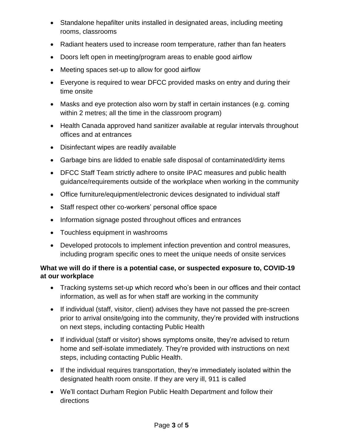- Standalone hepafilter units installed in designated areas, including meeting rooms, classrooms
- Radiant heaters used to increase room temperature, rather than fan heaters
- Doors left open in meeting/program areas to enable good airflow
- Meeting spaces set-up to allow for good airflow
- Everyone is required to wear DFCC provided masks on entry and during their time onsite
- Masks and eye protection also worn by staff in certain instances (e.g. coming within 2 metres; all the time in the classroom program)
- Health Canada approved hand sanitizer available at regular intervals throughout offices and at entrances
- Disinfectant wipes are readily available
- Garbage bins are lidded to enable safe disposal of contaminated/dirty items
- DFCC Staff Team strictly adhere to onsite IPAC measures and public health guidance/requirements outside of the workplace when working in the community
- Office furniture/equipment/electronic devices designated to individual staff
- Staff respect other co-workers' personal office space
- Information signage posted throughout offices and entrances
- Touchless equipment in washrooms
- Developed protocols to implement infection prevention and control measures, including program specific ones to meet the unique needs of onsite services

# **What we will do if there is a potential case, or suspected exposure to, COVID-19 at our workplace**

- Tracking systems set-up which record who's been in our offices and their contact information, as well as for when staff are working in the community
- If individual (staff, visitor, client) advises they have not passed the pre-screen prior to arrival onsite/going into the community, they're provided with instructions on next steps, including contacting Public Health
- If individual (staff or visitor) shows symptoms onsite, they're advised to return home and self-isolate immediately. They're provided with instructions on next steps, including contacting Public Health.
- If the individual requires transportation, they're immediately isolated within the designated health room onsite. If they are very ill, 911 is called
- We'll contact Durham Region Public Health Department and follow their directions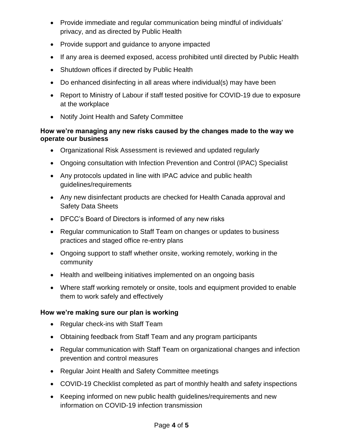- Provide immediate and regular communication being mindful of individuals' privacy, and as directed by Public Health
- Provide support and guidance to anyone impacted
- If any area is deemed exposed, access prohibited until directed by Public Health
- Shutdown offices if directed by Public Health
- Do enhanced disinfecting in all areas where individual(s) may have been
- Report to Ministry of Labour if staff tested positive for COVID-19 due to exposure at the workplace
- Notify Joint Health and Safety Committee

#### **How we're managing any new risks caused by the changes made to the way we operate our business**

- Organizational Risk Assessment is reviewed and updated regularly
- Ongoing consultation with Infection Prevention and Control (IPAC) Specialist
- Any protocols updated in line with IPAC advice and public health guidelines/requirements
- Any new disinfectant products are checked for Health Canada approval and Safety Data Sheets
- DFCC's Board of Directors is informed of any new risks
- Regular communication to Staff Team on changes or updates to business practices and staged office re-entry plans
- Ongoing support to staff whether onsite, working remotely, working in the community
- Health and wellbeing initiatives implemented on an ongoing basis
- Where staff working remotely or onsite, tools and equipment provided to enable them to work safely and effectively

# **How we're making sure our plan is working**

- Regular check-ins with Staff Team
- Obtaining feedback from Staff Team and any program participants
- Regular communication with Staff Team on organizational changes and infection prevention and control measures
- Regular Joint Health and Safety Committee meetings
- COVID-19 Checklist completed as part of monthly health and safety inspections
- Keeping informed on new public health guidelines/requirements and new information on COVID-19 infection transmission